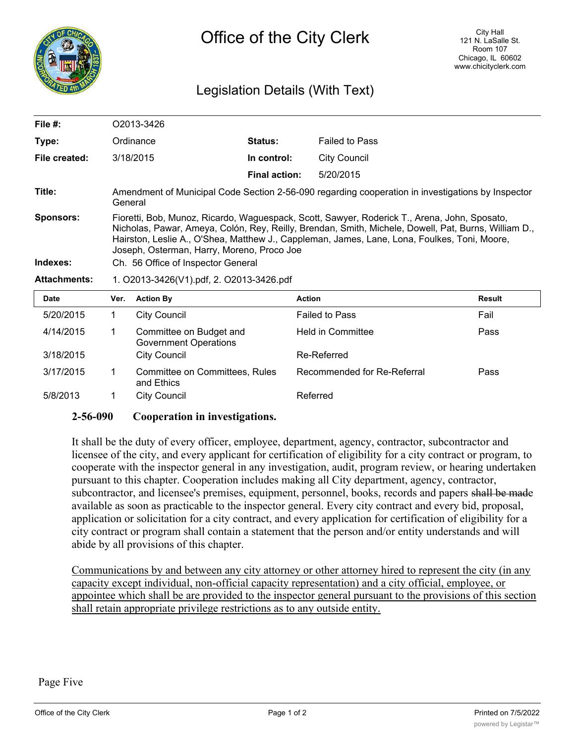

## Legislation Details (With Text)

| File $#$ :                   | O2013-3426                                                                                                                                                                                                                                                                                                                                                                               |                      |                       |  |  |
|------------------------------|------------------------------------------------------------------------------------------------------------------------------------------------------------------------------------------------------------------------------------------------------------------------------------------------------------------------------------------------------------------------------------------|----------------------|-----------------------|--|--|
| Type:                        | Ordinance                                                                                                                                                                                                                                                                                                                                                                                | <b>Status:</b>       | <b>Failed to Pass</b> |  |  |
| File created:                | 3/18/2015                                                                                                                                                                                                                                                                                                                                                                                | In control:          | City Council          |  |  |
|                              |                                                                                                                                                                                                                                                                                                                                                                                          | <b>Final action:</b> | 5/20/2015             |  |  |
| Title:                       | Amendment of Municipal Code Section 2-56-090 regarding cooperation in investigations by Inspector<br>General                                                                                                                                                                                                                                                                             |                      |                       |  |  |
| <b>Sponsors:</b><br>Indexes: | Fioretti, Bob, Munoz, Ricardo, Waguespack, Scott, Sawyer, Roderick T., Arena, John, Sposato,<br>Nicholas, Pawar, Ameya, Colón, Rey, Reilly, Brendan, Smith, Michele, Dowell, Pat, Burns, William D.,<br>Hairston, Leslie A., O'Shea, Matthew J., Cappleman, James, Lane, Lona, Foulkes, Toni, Moore,<br>Joseph, Osterman, Harry, Moreno, Proco Joe<br>Ch. 56 Office of Inspector General |                      |                       |  |  |
| <b>Attachments:</b>          | 1. O2013-3426(V1).pdf, 2. O2013-3426.pdf                                                                                                                                                                                                                                                                                                                                                 |                      |                       |  |  |
|                              |                                                                                                                                                                                                                                                                                                                                                                                          |                      |                       |  |  |

| <b>Date</b> | Ver. | <b>Action By</b>                                        | <b>Action</b>               | <b>Result</b> |
|-------------|------|---------------------------------------------------------|-----------------------------|---------------|
| 5/20/2015   |      | <b>City Council</b>                                     | <b>Failed to Pass</b>       | Fail          |
| 4/14/2015   |      | Committee on Budget and<br><b>Government Operations</b> | <b>Held in Committee</b>    | Pass          |
| 3/18/2015   |      | <b>City Council</b>                                     | Re-Referred                 |               |
| 3/17/2015   |      | Committee on Committees, Rules<br>and Ethics            | Recommended for Re-Referral | Pass          |
| 5/8/2013    |      | <b>City Council</b>                                     | Referred                    |               |

## **2-56-090 Cooperation in investigations.**

It shall be the duty of every officer, employee, department, agency, contractor, subcontractor and licensee of the city, and every applicant for certification of eligibility for a city contract or program, to cooperate with the inspector general in any investigation, audit, program review, or hearing undertaken pursuant to this chapter. Cooperation includes making all City department, agency, contractor, subcontractor, and licensee's premises, equipment, personnel, books, records and papers shall be made available as soon as practicable to the inspector general. Every city contract and every bid, proposal, application or solicitation for a city contract, and every application for certification of eligibility for a city contract or program shall contain a statement that the person and/or entity understands and will abide by all provisions of this chapter.

Communications by and between any city attorney or other attorney hired to represent the city (in any capacity except individual, non-official capacity representation) and a city official, employee, or appointee which shall be are provided to the inspector general pursuant to the provisions of this section shall retain appropriate privilege restrictions as to any outside entity.

Page Five